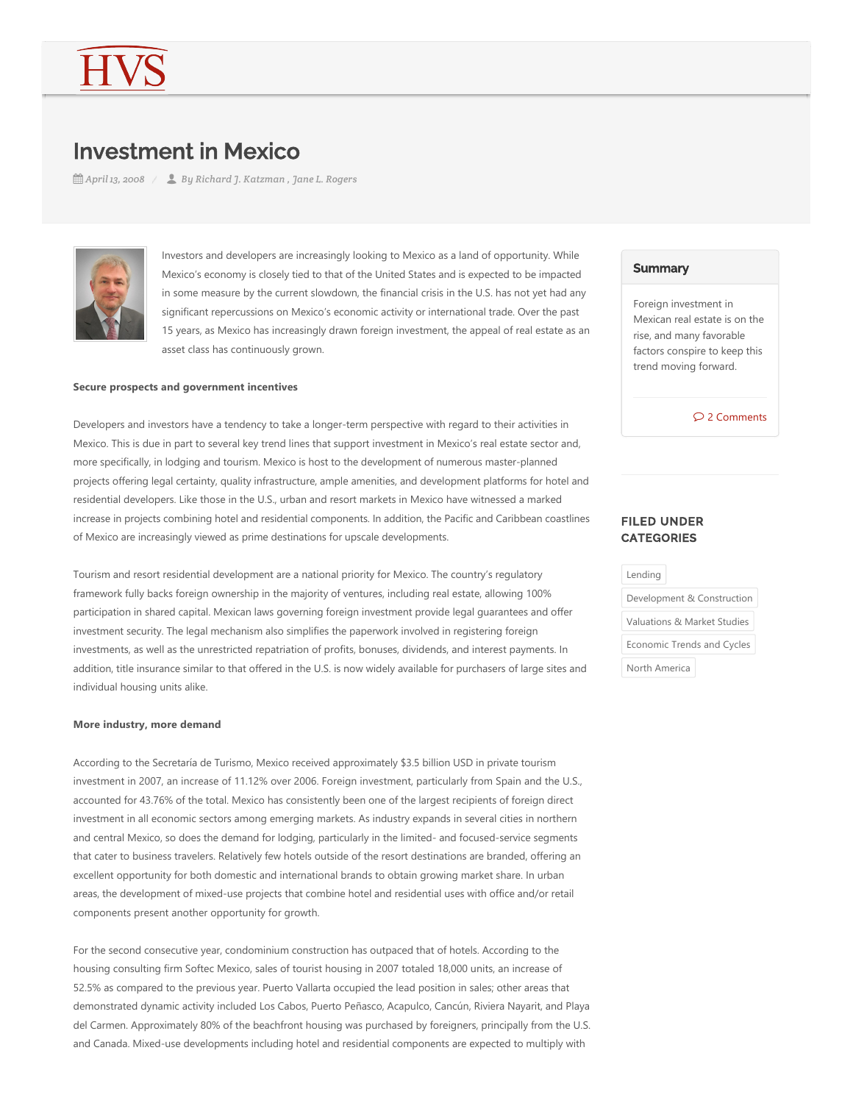# Investment in Mexico

*April 13, 2008 By Richard J. Katzman , Jane L. Rogers*



Investors and developers are increasingly looking to Mexico as a land of opportunity. While Mexico's economy is closely tied to that of the United States and is expected to be impacted in some measure by the current slowdown, the financial crisis in the U.S. has not yet had any significant repercussions on Mexico's economic activity or international trade. Over the past 15 years, as Mexico has increasingly drawn foreign investment, the appeal of real estate as an asset class has continuously grown.

#### **Secure prospects and government incentives**

Developers and investors have a tendency to take a longer-term perspective with regard to their activities in Mexico. This is due in part to several key trend lines that support investment in Mexico's real estate sector and, more specifically, in lodging and tourism. Mexico is host to the development of numerous master‐planned projects offering legal certainty, quality infrastructure, ample amenities, and development platforms for hotel and residential developers. Like those in the U.S., urban and resort markets in Mexico have witnessed a marked increase in projects combining hotel and residential components. In addition, the Pacific and Caribbean coastlines of Mexico are increasingly viewed as prime destinations for upscale developments.

Tourism and resort residential development are a national priority for Mexico. The country's regulatory framework fully backs foreign ownership in the majority of ventures, including real estate, allowing 100% participation in shared capital. Mexican laws governing foreign investment provide legal guarantees and offer investment security. The legal mechanism also simplifies the paperwork involved in registering foreign investments, as well as the unrestricted repatriation of profits, bonuses, dividends, and interest payments. In addition, title insurance similar to that offered in the U.S. is now widely available for purchasers of large sites and individual housing units alike.

#### **More industry, more demand**

According to the Secretaría de Turismo, Mexico received approximately \$3.5 billion USD in private tourism investment in 2007, an increase of 11.12% over 2006. Foreign investment, particularly from Spain and the U.S., accounted for 43.76% of the total. Mexico has consistently been one of the largest recipients of foreign direct investment in all economic sectors among emerging markets. As industry expands in several cities in northern and central Mexico, so does the demand for lodging, particularly in the limited- and focused-service segments that cater to business travelers. Relatively few hotels outside of the resort destinations are branded, offering an excellent opportunity for both domestic and international brands to obtain growing market share. In urban areas, the development of mixed‐use projects that combine hotel and residential uses with office and/or retail components present another opportunity for growth.

For the second consecutive year, condominium construction has outpaced that of hotels. According to the housing consulting firm Softec Mexico, sales of tourist housing in 2007 totaled 18,000 units, an increase of 52.5% as compared to the previous year. Puerto Vallarta occupied the lead position in sales; other areas that demonstrated dynamic activity included Los Cabos, Puerto Peñasco, Acapulco, Cancún, Riviera Nayarit, and Playa del Carmen. Approximately 80% of the beachfront housing was purchased by foreigners, principally from the U.S. and Canada. Mixed-use developments including hotel and residential components are expected to multiply with

#### **Summary**

Foreign investment in Mexican real estate is on the rise, and many favorable factors conspire to keep this trend moving forward.

2 Comments

## FILED UNDER **CATEGORIES**

Lending

Development & Construction Valuations & Market Studies

Economic Trends and Cycles

North America